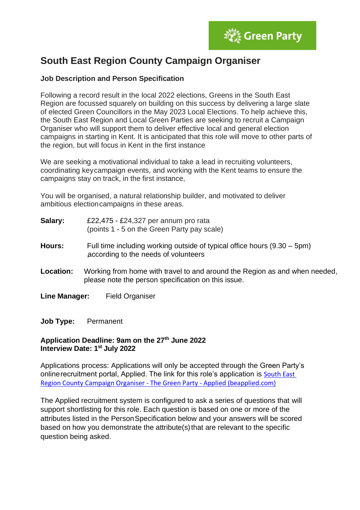

# **South East Region County Campaign Organiser**

## **Job Description and Person Specification**

Following a record result in the local 2022 elections, Greens in the South East Region are focussed squarely on building on this success by delivering a large slate of elected Green Councillors in the May 2023 Local Elections. To help achieve this, the South East Region and Local Green Parties are seeking to recruit a Campaign Organiser who will support them to deliver effective local and general election campaigns in starting in Kent. It is anticipated that this role will move to other parts of the region, but will focus in Kent in the first instance

We are seeking a motivational individual to take a lead in recruiting volunteers, coordinating keycampaign events, and working with the Kent teams to ensure the campaigns stay on track, in the first instance,

You will be organised, a natural relationship builder, and motivated to deliver ambitious electioncampaigns in these areas.

- **Salary:** £22,475 £24,327 per annum pro rata (points 1 - 5 on the Green Party pay scale)
- **Hours:** Full time including working outside of typical office hours (9.30 5pm) ,according to the needs of volunteers
- **Location:** Working from home with travel to and around the Region as and when needed, please note the person specification on this issue.
- **Line Manager:** Field Organiser

**Job Type:** Permanent

### **Application Deadline: 9am on the 27th June 2022 Interview Date: 1 st July 2022**

Applications process: Applications will only be accepted through the Green Party's onlinerecruitment portal, Applied. The link for this role's application is [South East](https://app.beapplied.com/apply/7f1h7ila9b)  [Region County Campaign Organiser -](https://app.beapplied.com/apply/7f1h7ila9b) The Green Party - Applied (beapplied.com)

The Applied recruitment system is configured to ask a series of questions that will support shortlisting for this role. Each question is based on one or more of the attributes listed in the PersonSpecification below and your answers will be scored based on how you demonstrate the attribute(s) that are relevant to the specific question being asked.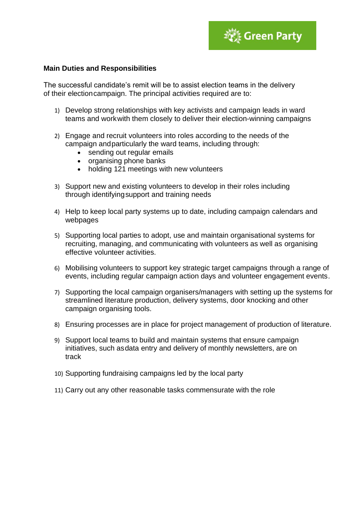

#### **Main Duties and Responsibilities**

The successful candidate's remit will be to assist election teams in the delivery of their electioncampaign. The principal activities required are to:

- 1) Develop strong relationships with key activists and campaign leads in ward teams and workwith them closely to deliver their election-winning campaigns
- 2) Engage and recruit volunteers into roles according to the needs of the campaign andparticularly the ward teams, including through:
	- sending out regular emails
	- organising phone banks
	- holding 121 meetings with new volunteers
- 3) Support new and existing volunteers to develop in their roles including through identifyingsupport and training needs
- 4) Help to keep local party systems up to date, including campaign calendars and webpages
- 5) Supporting local parties to adopt, use and maintain organisational systems for recruiting, managing, and communicating with volunteers as well as organising effective volunteer activities.
- 6) Mobilising volunteers to support key strategic target campaigns through a range of events, including regular campaign action days and volunteer engagement events.
- 7) Supporting the local campaign organisers/managers with setting up the systems for streamlined literature production, delivery systems, door knocking and other campaign organising tools.
- 8) Ensuring processes are in place for project management of production of literature.
- 9) Support local teams to build and maintain systems that ensure campaign initiatives, such asdata entry and delivery of monthly newsletters, are on track
- 10) Supporting fundraising campaigns led by the local party
- 11) Carry out any other reasonable tasks commensurate with the role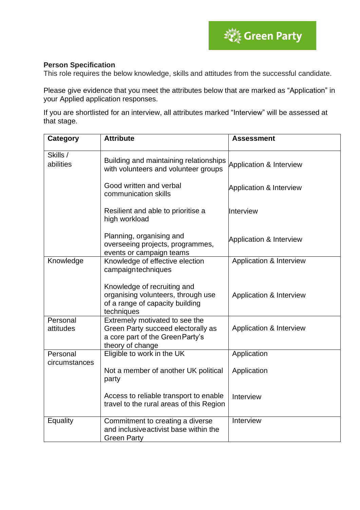

### **Person Specification**

This role requires the below knowledge, skills and attitudes from the successful candidate.

Please give evidence that you meet the attributes below that are marked as "Application" in your Applied application responses.

If you are shortlisted for an interview, all attributes marked "Interview" will be assessed at that stage.

| <b>Category</b>           | <b>Attribute</b>                                                                                                             | <b>Assessment</b>                  |
|---------------------------|------------------------------------------------------------------------------------------------------------------------------|------------------------------------|
| Skills /<br>abilities     | Building and maintaining relationships<br>with volunteers and volunteer groups                                               | Application & Interview            |
|                           | Good written and verbal<br>communication skills                                                                              | <b>Application &amp; Interview</b> |
|                           | Resilient and able to prioritise a<br>high workload                                                                          | Interview                          |
|                           | Planning, organising and<br>overseeing projects, programmes,<br>events or campaign teams                                     | Application & Interview            |
| Knowledge                 | Knowledge of effective election<br>campaigntechniques                                                                        | Application & Interview            |
|                           | Knowledge of recruiting and<br>organising volunteers, through use<br>of a range of capacity building<br>techniques           | Application & Interview            |
| Personal<br>attitudes     | Extremely motivated to see the<br>Green Party succeed electorally as<br>a core part of the Green Party's<br>theory of change | Application & Interview            |
| Personal<br>circumstances | Eligible to work in the UK                                                                                                   | Application                        |
|                           | Not a member of another UK political<br>party                                                                                | Application                        |
|                           | Access to reliable transport to enable<br>travel to the rural areas of this Region                                           | Interview                          |
| Equality                  | Commitment to creating a diverse<br>and inclusive activist base within the<br><b>Green Party</b>                             | Interview                          |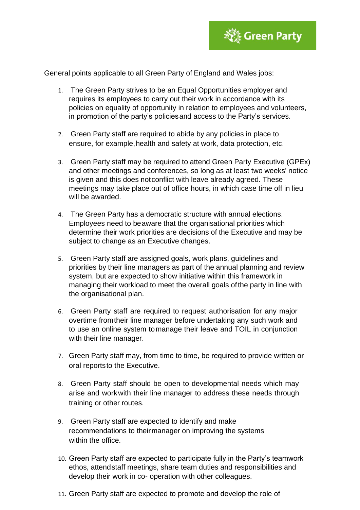

General points applicable to all Green Party of England and Wales jobs:

- 1. The Green Party strives to be an Equal Opportunities employer and requires its employees to carry out their work in accordance with its policies on equality of opportunity in relation to employees and volunteers, in promotion of the party's policiesand access to the Party's services.
- 2. Green Party staff are required to abide by any policies in place to ensure, for example,health and safety at work, data protection, etc.
- 3. Green Party staff may be required to attend Green Party Executive (GPEx) and other meetings and conferences, so long as at least two weeks' notice is given and this does notconflict with leave already agreed. These meetings may take place out of office hours, in which case time off in lieu will be awarded.
- 4. The Green Party has a democratic structure with annual elections. Employees need to beaware that the organisational priorities which determine their work priorities are decisions of the Executive and may be subject to change as an Executive changes.
- 5. Green Party staff are assigned goals, work plans, guidelines and priorities by their line managers as part of the annual planning and review system, but are expected to show initiative within this framework in managing their workload to meet the overall goals ofthe party in line with the organisational plan.
- 6. Green Party staff are required to request authorisation for any major overtime fromtheir line manager before undertaking any such work and to use an online system tomanage their leave and TOIL in conjunction with their line manager.
- 7. Green Party staff may, from time to time, be required to provide written or oral reportsto the Executive.
- 8. Green Party staff should be open to developmental needs which may arise and workwith their line manager to address these needs through training or other routes.
- 9. Green Party staff are expected to identify and make recommendations to theirmanager on improving the systems within the office.
- 10. Green Party staff are expected to participate fully in the Party's teamwork ethos, attendstaff meetings, share team duties and responsibilities and develop their work in co- operation with other colleagues.
- 11. Green Party staff are expected to promote and develop the role of